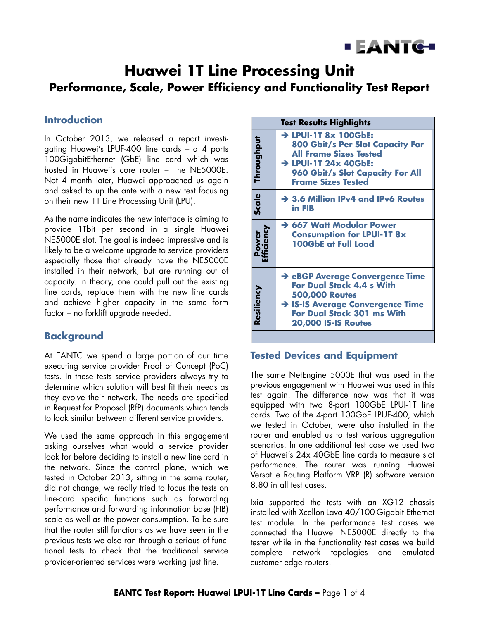

# **Huawei 1T Line Processing Unit Performance, Scale, Power Efficiency and Functionality Test Report**

### **Introduction**

In October 2013, we released a report investigating Huawei's LPUF-400 line cards – a 4 ports 100GigabitEthernet (GbE) line card which was hosted in Huawei's core router – The NE5000E. Not 4 month later, Huawei approached us again and asked to up the ante with a new test focusing on their new 1T Line Processing Unit (LPU).

As the name indicates the new interface is aiming to provide 1Tbit per second in a single Huawei NE5000E slot. The goal is indeed impressive and is likely to be a welcome upgrade to service providers especially those that already have the NE5000E installed in their network, but are running out of capacity. In theory, one could pull out the existing line cards, replace them with the new line cards and achieve higher capacity in the same form factor – no forklift upgrade needed.

### **Background**

At EANTC we spend a large portion of our time executing service provider Proof of Concept (PoC) tests. In these tests service providers always try to determine which solution will best fit their needs as they evolve their network. The needs are specified in Request for Proposal (RfP) documents which tends to look similar between different service providers.

We used the same approach in this engagement asking ourselves what would a service provider look for before deciding to install a new line card in the network. Since the control plane, which we tested in October 2013, sitting in the same router, did not change, we really tried to focus the tests on line-card specific functions such as forwarding performance and forwarding information base (FIB) scale as well as the power consumption. To be sure that the router still functions as we have seen in the previous tests we also ran through a serious of functional tests to check that the traditional service provider-oriented services were working just fine.

| <b>Test Results Highlights</b>                                                                                                                                                                        |  |  |
|-------------------------------------------------------------------------------------------------------------------------------------------------------------------------------------------------------|--|--|
| $\rightarrow$ LPUI-1T 8x 100GbE:<br><b>800 Gbit/s Per Slot Capacity For</b><br><b>All Frame Sizes Tested</b><br>> LPUI-1T 24x 40GbE:<br>960 Gbit/s Slot Capacity For All<br><b>Frame Sizes Tested</b> |  |  |
| $\rightarrow$ 3.6 Million IPv4 and IPv6 Routes<br>in FIB                                                                                                                                              |  |  |
| → 667 Watt Modular Power<br><b>Consumption for LPUI-1T 8x</b><br><b>100GbE at Full Load</b>                                                                                                           |  |  |
| → eBGP Average Convergence Time<br><b>For Dual Stack 4.4 s With</b><br><b>500,000 Routes</b><br>> IS-IS Average Convergence Time<br><b>For Dual Stack 301 ms With</b><br><b>20,000 IS-IS Routes</b>   |  |  |
|                                                                                                                                                                                                       |  |  |

### **Tested Devices and Equipment**

The same NetEngine 5000E that was used in the previous engagement with Huawei was used in this test again. The difference now was that it was equipped with two 8-port 100GbE LPUI-1T line cards. Two of the 4-port 100GbE LPUF-400, which we tested in October, were also installed in the router and enabled us to test various aggregation scenarios. In one additional test case we used two of Huawei's 24x 40GbE line cards to measure slot performance. The router was running Huawei Versatile Routing Platform VRP (R) software version 8.80 in all test cases.

Ixia supported the tests with an XG12 chassis installed with Xcellon-Lava 40/100-Gigabit Ethernet test module. In the performance test cases we connected the Huawei NE5000E directly to the tester while in the functionality test cases we build complete network topologies and emulated customer edge routers.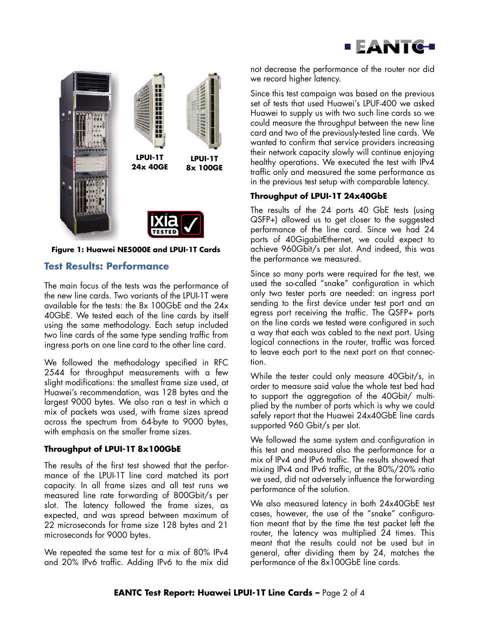



#### **Figure 1: Huawei NE5000E and LPUI-1T Cards**

### **Test Results: Performance**

The main focus of the tests was the performance of the new line cards. Two variants of the LPUI-1T were available for the tests: the 8x 100GbE and the 24x 40GbE. We tested each of the line cards by itself using the same methodology. Each setup included two line cards of the same type sending traffic from ingress ports on one line card to the other line card.

We followed the methodology specified in RFC 2544 for throughput measurements with a few slight modifications: the smallest frame size used, at Huawei's recommendation, was 128 bytes and the largest 9000 bytes. We also ran a test in which a mix of packets was used, with frame sizes spread across the spectrum from 64-byte to 9000 bytes, with emphasis on the smaller frame sizes.

#### **Throughput of LPUI-1T 8x100GbE**

The results of the first test showed that the performance of the LPUI-1T line card matched its port capacity. In all frame sizes and all test runs we measured line rate forwarding of 800Gbit/s per slot. The latency followed the frame sizes, as expected, and was spread between maximum of 22 microseconds for frame size 128 bytes and 21 microseconds for 9000 bytes.

We repeated the same test for a mix of 80% IPv4 and 20% IPv6 traffic. Adding IPv6 to the mix did

not decrease the performance of the router nor did we record higher latency.

Since this test campaign was based on the previous set of tests that used Huawei's LPUF-400 we asked Huawei to supply us with two such line cards so we could measure the throughput between the new line card and two of the previously-tested line cards. We wanted to confirm that service providers increasing their network capacity slowly will continue enjoying healthy operations. We executed the test with IPv4 traffic only and measured the same performance as in the previous test setup with comparable latency.

### **Throughput of LPUI-1T 24x40GbE**

The results of the 24 ports 40 GbE tests (using QSFP+) allowed us to get closer to the suggested performance of the line card. Since we had 24 ports of 40GigabitEthernet, we could expect to achieve 960Gbit/s per slot. And indeed, this was the performance we measured.

Since so many ports were required for the test, we used the so-called "snake" configuration in which only two tester ports are needed: an ingress port sending to the first device under test port and an egress port receiving the traffic. The QSFP+ ports on the line cards we tested were configured in such a way that each was cabled to the next port. Using logical connections in the router, traffic was forced to leave each port to the next port on that connection.

While the tester could only measure 40Gbit/s, in order to measure said value the whole test bed had to support the aggregation of the 40Gbit/ multiplied by the number of ports which is why we could safely report that the Huawei 24x40GbE line cards supported 960 Gbit/s per slot.

We followed the same system and configuration in this test and measured also the performance for a mix of IPv4 and IPv6 traffic. The results showed that mixing IPv4 and IPv6 traffic, at the 80%/20% ratio we used, did not adversely influence the forwarding performance of the solution.

We also measured latency in both 24x40GbE test cases, however, the use of the "snake" configuration meant that by the time the test packet left the router, the latency was multiplied 24 times. This meant that the results could not be used but in general, after dividing them by 24, matches the performance of the 8x100GbE line cards.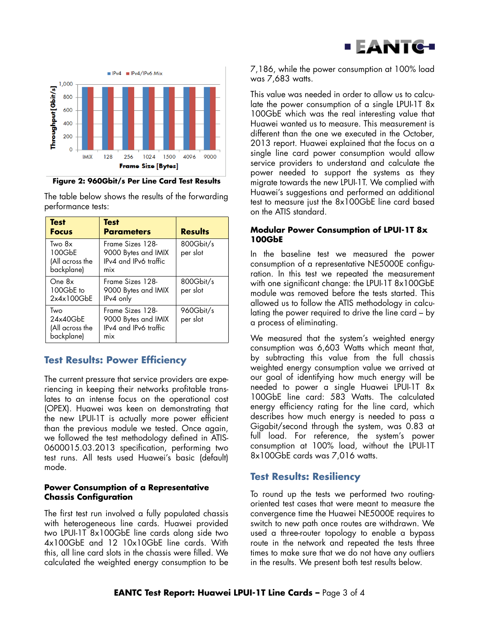



**Figure 2: 960Gbit/s Per Line Card Test Results**

The table below shows the results of the forwarding performance tests:

| <b>Test</b><br><b>Focus</b>                       | <b>Test</b><br><b>Parameters</b>                                        | <b>Results</b>        |
|---------------------------------------------------|-------------------------------------------------------------------------|-----------------------|
| Two 8x<br>100GbE<br>(All across the<br>backplane) | Frame Sizes 128-<br>9000 Bytes and IMIX<br>IPv4 and IPv6 traffic<br>mix | 800Gbit/s<br>per slot |
| One $8x$<br>100GbE to<br>2x4x100GbE               | Frame Sizes 128-<br>9000 Bytes and IMIX<br>IPv4 only                    | 800Gbit/s<br>per slot |
| Two<br>24x40GbE<br>(All across the<br>backplane)  | Frame Sizes 128-<br>9000 Bytes and IMIX<br>IPv4 and IPv6 traffic<br>mix | 960Gbit/s<br>per slot |

# **Test Results: Power Efficiency**

The current pressure that service providers are experiencing in keeping their networks profitable translates to an intense focus on the operational cost (OPEX). Huawei was keen on demonstrating that the new LPUI-1T is actually more power efficient than the previous module we tested. Once again, we followed the test methodology defined in ATIS-0600015.03.2013 specification, performing two test runs. All tests used Huawei's basic (default) mode.

#### **Power Consumption of a Representative Chassis Configuration**

The first test run involved a fully populated chassis with heterogeneous line cards. Huawei provided two LPUI-1T 8x100GbE line cards along side two 4x100GbE and 12 10x10GbE line cards. With this, all line card slots in the chassis were filled. We calculated the weighted energy consumption to be

7,186, while the power consumption at 100% load was 7,683 watts.

This value was needed in order to allow us to calculate the power consumption of a single LPUI-1T 8x 100GbE which was the real interesting value that Huawei wanted us to measure. This measurement is different than the one we executed in the October, 2013 report. Huawei explained that the focus on a single line card power consumption would allow service providers to understand and calculate the power needed to support the systems as they migrate towards the new LPUI-1T. We complied with Huawei's suggestions and performed an additional test to measure just the 8x100GbE line card based on the ATIS standard.

### **Modular Power Consumption of LPUI-1T 8x 100GbE**

In the baseline test we measured the power consumption of a representative NE5000E configuration. In this test we repeated the measurement with one significant change: the LPUI-1T 8x100GbE module was removed before the tests started. This allowed us to follow the ATIS methodology in calculating the power required to drive the line card – by a process of eliminating.

We measured that the system's weighted energy consumption was 6,603 Watts which meant that, by subtracting this value from the full chassis weighted energy consumption value we arrived at our goal of identifying how much energy will be needed to power a single Huawei LPUI-1T 8x 100GbE line card: 583 Watts. The calculated energy efficiency rating for the line card, which describes how much energy is needed to pass a Gigabit/second through the system, was 0.83 at full load. For reference, the system's power consumption at 100% load, without the LPUI-1T 8x100GbE cards was 7,016 watts.

# **Test Results: Resiliency**

To round up the tests we performed two routingoriented test cases that were meant to measure the convergence time the Huawei NE5000E requires to switch to new path once routes are withdrawn. We used a three-router topology to enable a bypass route in the network and repeated the tests three times to make sure that we do not have any outliers in the results. We present both test results below.